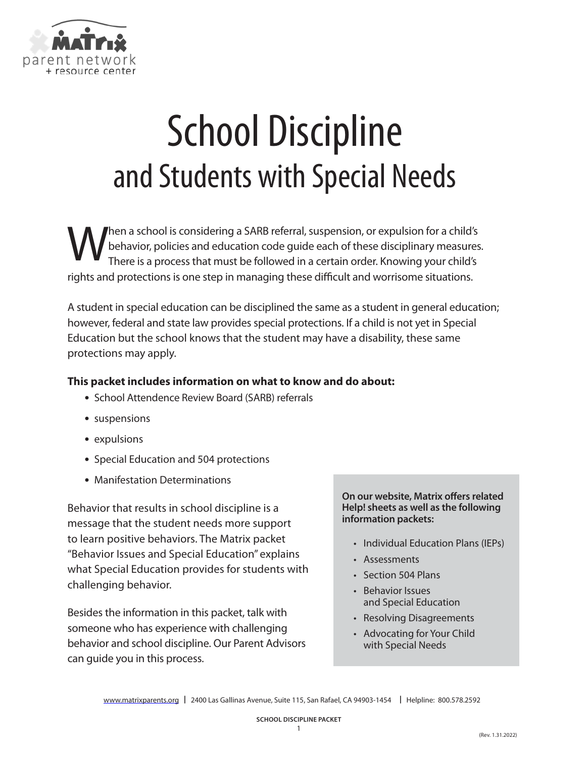

# School Discipline and Students with Special Needs

When a school is considering a SARB referral, suspension, or expulsion for a child's<br>There is a process that must be followed in a certain order. Knowing your child's behavior, policies and education code guide each of these disciplinary measures. There is a process that must be followed in a certain order. Knowing your child's rights and protections is one step in managing these difficult and worrisome situations.

A student in special education can be disciplined the same as a student in general education; however, federal and state law provides special protections. If a child is not yet in Special Education but the school knows that the student may have a disability, these same protections may apply.

# **This packet includes information on what to know and do about:**

- **•** School Attendence Review Board (SARB) referrals
- **•** suspensions
- **•** expulsions
- **•** Special Education and 504 protections
- **•** Manifestation Determinations

Behavior that results in school discipline is a message that the student needs more support to learn positive behaviors. The Matrix packet "Behavior Issues and Special Education" explains what Special Education provides for students with challenging behavior.

Besides the information in this packet, talk with someone who has experience with challenging behavior and school discipline. Our Parent Advisors can guide you in this process.

**On our website, Matrix offers related Help! sheets as well as the following information packets:**

- Individual Education Plans (IEPs)
- Assessments
- Section 504 Plans
- Behavior Issues and Special Education
- Resolving Disagreements
- Advocating for Your Child with Special Needs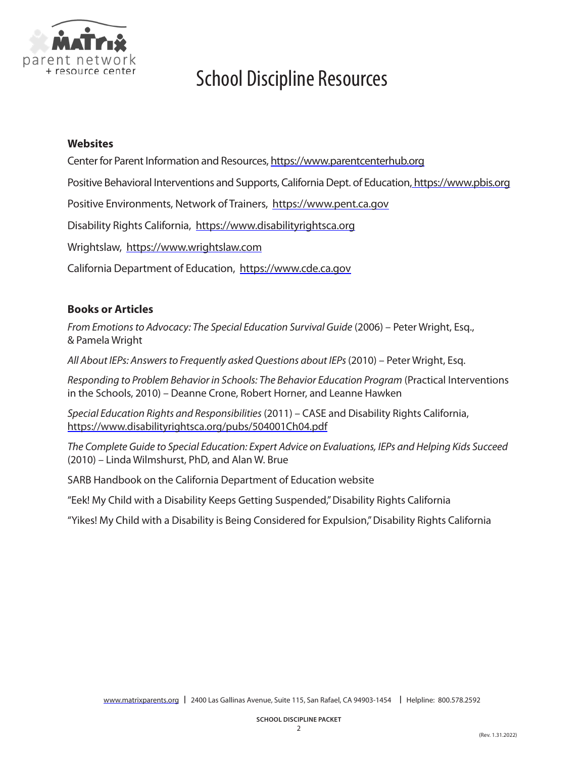

# School Discipline Resources

### **Websites**

Center for Parent Information and Resources, https:/[/www.parentcenterhub.org](https://www.parentcenterhub.org)

Positive Behavioral Interventions and Supports, California Dept. of Education, https:/[/www.pbis.org](https://www.pbis.org)

Positive Environments, Network of Trainers, https://[www.pent.ca.gov](https://www.pent.ca.gov
)

Disability Rights California, https://[www.disabilityrightsca.org](https://www.disabilityrightsca.org)

Wrightslaw, https:/[/www.wrightslaw.com](https://www.wrightslaw.com)

California Department of Education, https://[www.cde.ca.gov](https://www.cde.ca.gov)

### **Books or Articles**

*From Emotions to Advocacy: The Special Education Survival Guide* (2006) – Peter Wright, Esq., & Pamela Wright

*All About IEPs: Answers to Frequently asked Questions about IEPs* (2010) – Peter Wright, Esq.

*Responding to Problem Behavior in Schools: The Behavior Education Program* (Practical Interventions in the Schools, 2010) – Deanne Crone, Robert Horner, and Leanne Hawken

*Special Education Rights and Responsibilities* (2011) – CASE and Disability Rights California, [https://www.disabilityrightsca.org/pubs/504001Ch04.pdf](http://www.disabilityrightsca.org/pubs/504001Ch04.pdf)

*The Complete Guide to Special Education: Expert Advice on Evaluations, IEPs and Helping Kids Succeed* (2010) – Linda Wilmshurst, PhD, and Alan W. Brue

SARB Handbook on the California Department of Education website

"Eek! My Child with a Disability Keeps Getting Suspended," Disability Rights California

"Yikes! My Child with a Disability is Being Considered for Expulsion," Disability Rights California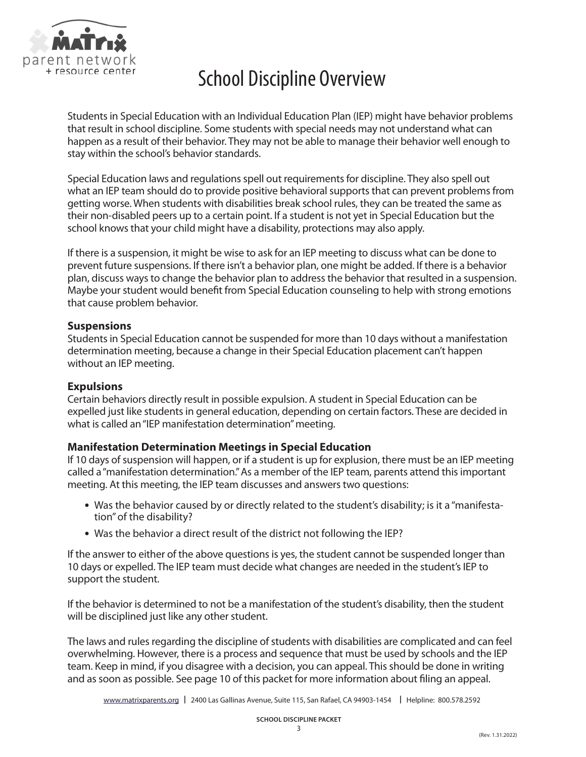

# School Discipline Overview

Students in Special Education with an Individual Education Plan (IEP) might have behavior problems that result in school discipline. Some students with special needs may not understand what can happen as a result of their behavior. They may not be able to manage their behavior well enough to stay within the school's behavior standards.

Special Education laws and regulations spell out requirements for discipline. They also spell out what an IEP team should do to provide positive behavioral supports that can prevent problems from getting worse. When students with disabilities break school rules, they can be treated the same as their non-disabled peers up to a certain point. If a student is not yet in Special Education but the school knows that your child might have a disability, protections may also apply.

If there is a suspension, it might be wise to ask for an IEP meeting to discuss what can be done to prevent future suspensions. If there isn't a behavior plan, one might be added. If there is a behavior plan, discuss ways to change the behavior plan to address the behavior that resulted in a suspension. Maybe your student would benefit from Special Education counseling to help with strong emotions that cause problem behavior.

### **Suspensions**

Students in Special Education cannot be suspended for more than 10 days without a manifestation determination meeting, because a change in their Special Education placement can't happen without an IEP meeting.

### **Expulsions**

Certain behaviors directly result in possible expulsion. A student in Special Education can be expelled just like students in general education, depending on certain factors. These are decided in what is called an "IEP manifestation determination" meeting.

# **Manifestation Determination Meetings in Special Education**

If 10 days of suspension will happen, or if a student is up for explusion, there must be an IEP meeting called a "manifestation determination." As a member of the IEP team, parents attend this important meeting. At this meeting, the IEP team discusses and answers two questions:

- **•** Was the behavior caused by or directly related to the student's disability; is it a "manifestation" of the disability?
- **•** Was the behavior a direct result of the district not following the IEP?

If the answer to either of the above questions is yes, the student cannot be suspended longer than 10 days or expelled. The IEP team must decide what changes are needed in the student's IEP to support the student.

If the behavior is determined to not be a manifestation of the student's disability, then the student will be disciplined just like any other student.

The laws and rules regarding the discipline of students with disabilities are complicated and can feel overwhelming. However, there is a process and sequence that must be used by schools and the IEP team. Keep in mind, if you disagree with a decision, you can appeal. This should be done in writing and as soon as possible. See page 10 of this packet for more information about filing an appeal.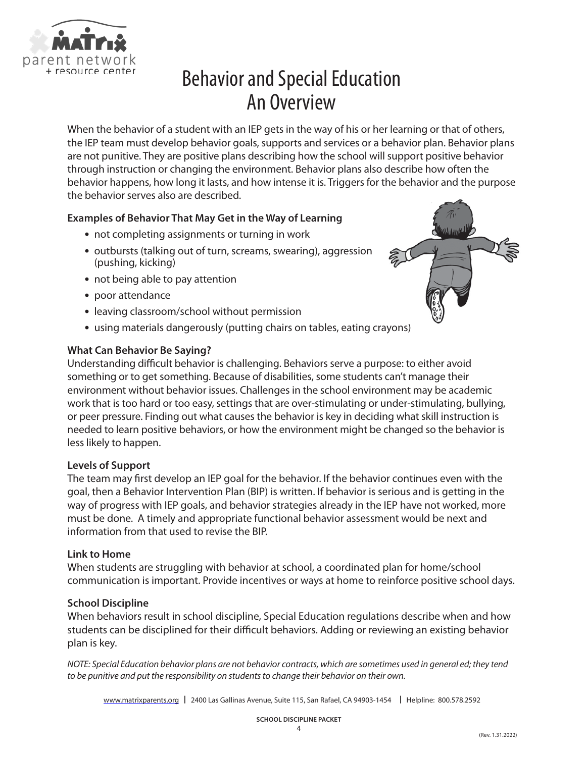

# Behavior and Special Education An Overview

When the behavior of a student with an IEP gets in the way of his or her learning or that of others, the IEP team must develop behavior goals, supports and services or a behavior plan. Behavior plans are not punitive. They are positive plans describing how the school will support positive behavior through instruction or changing the environment. Behavior plans also describe how often the behavior happens, how long it lasts, and how intense it is. Triggers for the behavior and the purpose the behavior serves also are described.

# **Examples of Behavior That May Get in the Way of Learning**

- **•** not completing assignments or turning in work
- **•** outbursts (talking out of turn, screams, swearing), aggression (pushing, kicking)
- **•** not being able to pay attention
- **•** poor attendance
- **•** leaving classroom/school without permission
- **•** using materials dangerously (putting chairs on tables, eating crayons)

### **What Can Behavior Be Saying?**

Understanding difficult behavior is challenging. Behaviors serve a purpose: to either avoid something or to get something. Because of disabilities, some students can't manage their environment without behavior issues. Challenges in the school environment may be academic work that is too hard or too easy, settings that are over-stimulating or under-stimulating, bullying, or peer pressure. Finding out what causes the behavior is key in deciding what skill instruction is needed to learn positive behaviors, or how the environment might be changed so the behavior is less likely to happen.

### **Levels of Support**

The team may first develop an IEP goal for the behavior. If the behavior continues even with the goal, then a Behavior Intervention Plan (BIP) is written. If behavior is serious and is getting in the way of progress with IEP goals, and behavior strategies already in the IEP have not worked, more must be done. A timely and appropriate functional behavior assessment would be next and information from that used to revise the BIP.

### **Link to Home**

When students are struggling with behavior at school, a coordinated plan for home/school communication is important. Provide incentives or ways at home to reinforce positive school days.

### **School Discipline**

When behaviors result in school discipline, Special Education regulations describe when and how students can be disciplined for their difficult behaviors. Adding or reviewing an existing behavior plan is key.

*NOTE: Special Education behavior plans are not behavior contracts, which are sometimes used in general ed; they tend to be punitive and put the responsibility on students to change their behavior on their own.* 

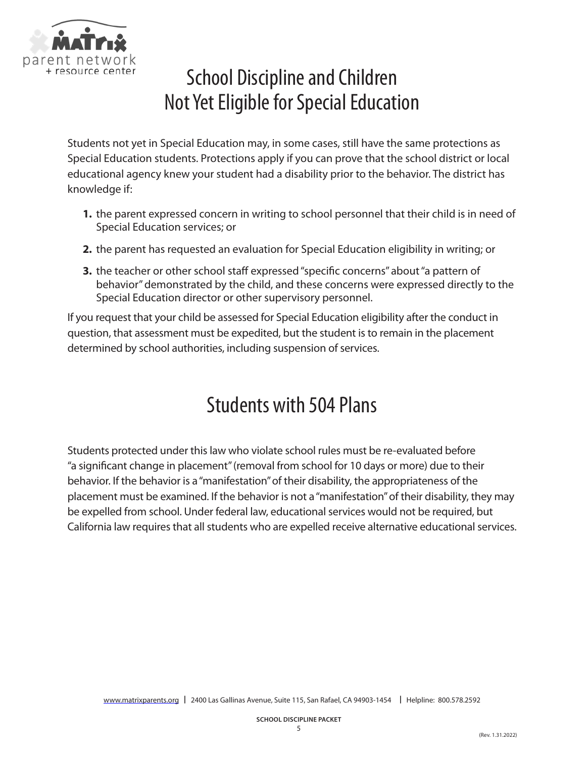

# School Discipline and Children Not Yet Eligible for Special Education

Students not yet in Special Education may, in some cases, still have the same protections as Special Education students. Protections apply if you can prove that the school district or local educational agency knew your student had a disability prior to the behavior. The district has knowledge if:

- **1.** the parent expressed concern in writing to school personnel that their child is in need of Special Education services; or
- **2.** the parent has requested an evaluation for Special Education eligibility in writing; or
- **3.** the teacher or other school staff expressed "specific concerns" about "a pattern of behavior" demonstrated by the child, and these concerns were expressed directly to the Special Education director or other supervisory personnel.

If you request that your child be assessed for Special Education eligibility after the conduct in question, that assessment must be expedited, but the student is to remain in the placement determined by school authorities, including suspension of services.

# Students with 504 Plans

Students protected under this law who violate school rules must be re-evaluated before "a significant change in placement" (removal from school for 10 days or more) due to their behavior. If the behavior is a "manifestation" of their disability, the appropriateness of the placement must be examined. If the behavior is not a "manifestation" of their disability, they may be expelled from school. Under federal law, educational services would not be required, but California law requires that all students who are expelled receive alternative educational services.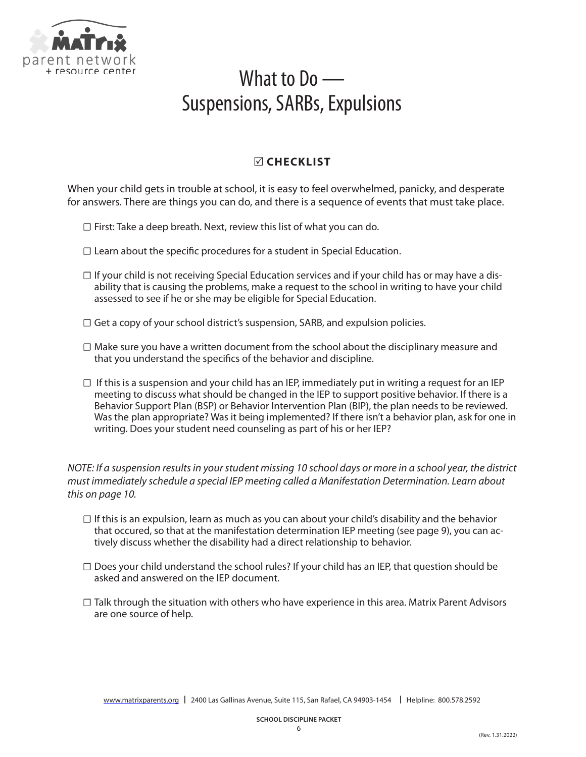

# What to Do — Suspensions, SARBs, Expulsions

# **CHECKLIST**

When your child gets in trouble at school, it is easy to feel overwhelmed, panicky, and desperate for answers. There are things you can do, and there is a sequence of events that must take place.

- $\Box$  First: Take a deep breath. Next, review this list of what you can do.
- □ Learn about the specific procedures for a student in Special Education.
- $\Box$  If your child is not receiving Special Education services and if your child has or may have a disability that is causing the problems, make a request to the school in writing to have your child assessed to see if he or she may be eligible for Special Education.
- $\Box$  Get a copy of your school district's suspension, SARB, and expulsion policies.
- ☐ Make sure you have a written document from the school about the disciplinary measure and that you understand the specifics of the behavior and discipline.
- $\Box$  If this is a suspension and your child has an IEP, immediately put in writing a request for an IEP meeting to discuss what should be changed in the IEP to support positive behavior. If there is a Behavior Support Plan (BSP) or Behavior Intervention Plan (BIP), the plan needs to be reviewed. Was the plan appropriate? Was it being implemented? If there isn't a behavior plan, ask for one in writing. Does your student need counseling as part of his or her IEP?

*NOTE: If a suspension results in your student missing 10 school days or more in a school year, the district must immediately schedule a special IEP meeting called a Manifestation Determination. Learn about this on page 10.*

- $\Box$  If this is an expulsion, learn as much as you can about your child's disability and the behavior that occured, so that at the manifestation determination IEP meeting (see page 9), you can actively discuss whether the disability had a direct relationship to behavior.
- $\Box$  Does your child understand the school rules? If your child has an IEP, that question should be asked and answered on the IEP document.
- ☐ Talk through the situation with others who have experience in this area. Matrix Parent Advisors are one source of help.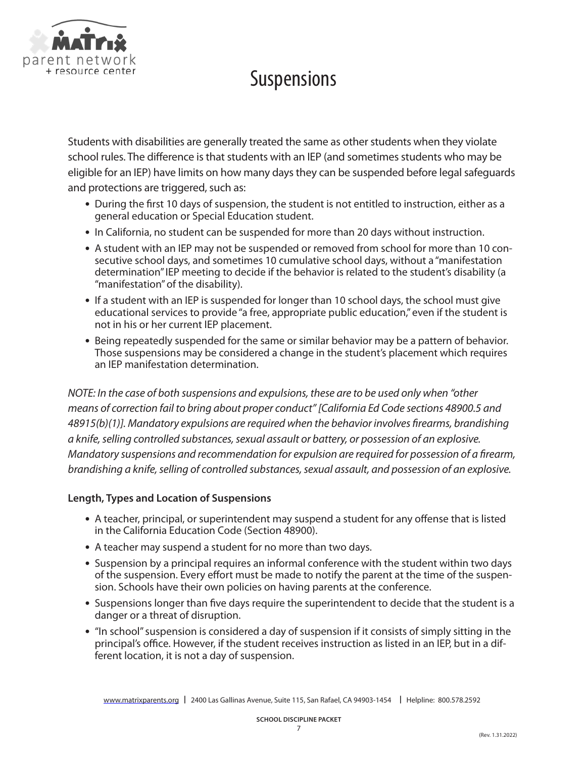

# Suspensions

Students with disabilities are generally treated the same as other students when they violate school rules. The difference is that students with an IEP (and sometimes students who may be eligible for an IEP) have limits on how many days they can be suspended before legal safeguards and protections are triggered, such as:

- **•** During the first 10 days of suspension, the student is not entitled to instruction, either as a general education or Special Education student.
- **•** In California, no student can be suspended for more than 20 days without instruction.
- **•** A student with an IEP may not be suspended or removed from school for more than 10 consecutive school days, and sometimes 10 cumulative school days, without a "manifestation determination" IEP meeting to decide if the behavior is related to the student's disability (a "manifestation" of the disability).
- **•** If a student with an IEP is suspended for longer than 10 school days, the school must give educational services to provide "a free, appropriate public education," even if the student is not in his or her current IEP placement.
- **•** Being repeatedly suspended for the same or similar behavior may be a pattern of behavior. Those suspensions may be considered a change in the student's placement which requires an IEP manifestation determination.

*NOTE: In the case of both suspensions and expulsions, these are to be used only when "other means of correction fail to bring about proper conduct" [California Ed Code sections 48900.5 and 48915(b)(1)]. Mandatory expulsions are required when the behavior involves firearms, brandishing a knife, selling controlled substances, sexual assault or battery, or possession of an explosive. Mandatory suspensions and recommendation for expulsion are required for possession of a firearm, brandishing a knife, selling of controlled substances, sexual assault, and possession of an explosive.*

# **Length, Types and Location of Suspensions**

- **•** A teacher, principal, or superintendent may suspend a student for any offense that is listed in the California Education Code (Section 48900).
- **•** A teacher may suspend a student for no more than two days.
- **•** Suspension by a principal requires an informal conference with the student within two days of the suspension. Every effort must be made to notify the parent at the time of the suspension. Schools have their own policies on having parents at the conference.
- **•** Suspensions longer than five days require the superintendent to decide that the student is a danger or a threat of disruption.
- **•** "In school" suspension is considered a day of suspension if it consists of simply sitting in the principal's office. However, if the student receives instruction as listed in an IEP, but in a different location, it is not a day of suspension.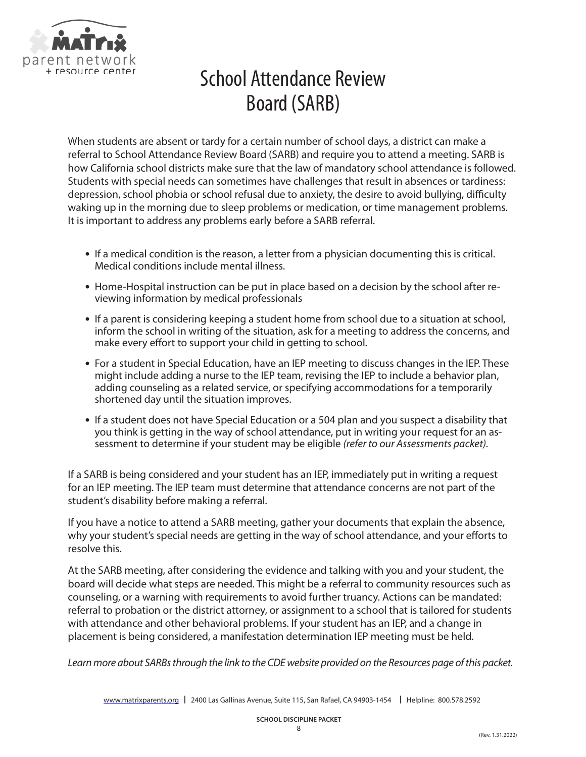

# School Attendance Review Board (SARB)

When students are absent or tardy for a certain number of school days, a district can make a referral to School Attendance Review Board (SARB) and require you to attend a meeting. SARB is how California school districts make sure that the law of mandatory school attendance is followed. Students with special needs can sometimes have challenges that result in absences or tardiness: depression, school phobia or school refusal due to anxiety, the desire to avoid bullying, difficulty waking up in the morning due to sleep problems or medication, or time management problems. It is important to address any problems early before a SARB referral.

- **•** If a medical condition is the reason, a letter from a physician documenting this is critical. Medical conditions include mental illness.
- **•** Home-Hospital instruction can be put in place based on a decision by the school after reviewing information by medical professionals
- **•** If a parent is considering keeping a student home from school due to a situation at school, inform the school in writing of the situation, ask for a meeting to address the concerns, and make every effort to support your child in getting to school.
- **•** For a student in Special Education, have an IEP meeting to discuss changes in the IEP. These might include adding a nurse to the IEP team, revising the IEP to include a behavior plan, adding counseling as a related service, or specifying accommodations for a temporarily shortened day until the situation improves.
- **•** If a student does not have Special Education or a 504 plan and you suspect a disability that you think is getting in the way of school attendance, put in writing your request for an assessment to determine if your student may be eligible *(refer to our Assessments packet).*

If a SARB is being considered and your student has an IEP, immediately put in writing a request for an IEP meeting. The IEP team must determine that attendance concerns are not part of the student's disability before making a referral.

If you have a notice to attend a SARB meeting, gather your documents that explain the absence, why your student's special needs are getting in the way of school attendance, and your efforts to resolve this.

At the SARB meeting, after considering the evidence and talking with you and your student, the board will decide what steps are needed. This might be a referral to community resources such as counseling, or a warning with requirements to avoid further truancy. Actions can be mandated: referral to probation or the district attorney, or assignment to a school that is tailored for students with attendance and other behavioral problems. If your student has an IEP, and a change in placement is being considered, a manifestation determination IEP meeting must be held.

*Learn more about SARBs through the link to the CDE website provided on the Resources page of this packet.*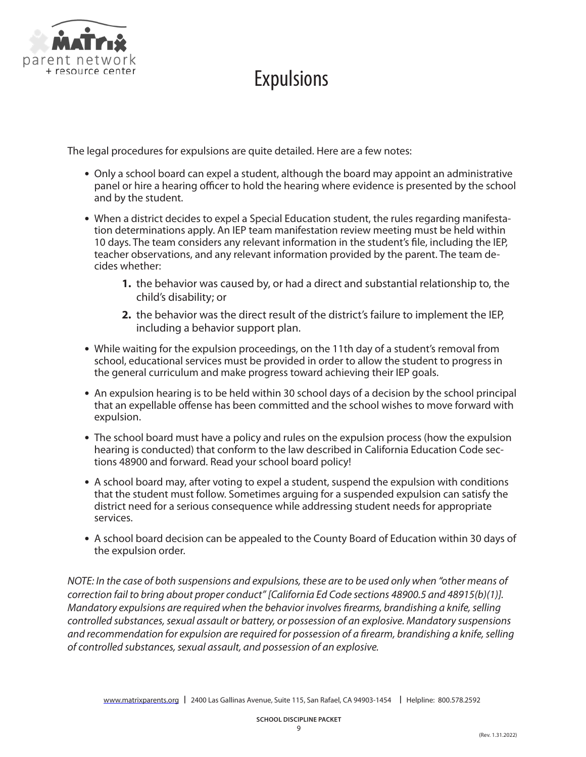

# **Expulsions**

The legal procedures for expulsions are quite detailed. Here are a few notes:

- **•** Only a school board can expel a student, although the board may appoint an administrative panel or hire a hearing officer to hold the hearing where evidence is presented by the school and by the student.
- **•** When a district decides to expel a Special Education student, the rules regarding manifestation determinations apply. An IEP team manifestation review meeting must be held within 10 days. The team considers any relevant information in the student's file, including the IEP, teacher observations, and any relevant information provided by the parent. The team decides whether:
	- **1.** the behavior was caused by, or had a direct and substantial relationship to, the child's disability; or
	- **2.** the behavior was the direct result of the district's failure to implement the IEP, including a behavior support plan.
- **•** While waiting for the expulsion proceedings, on the 11th day of a student's removal from school, educational services must be provided in order to allow the student to progress in the general curriculum and make progress toward achieving their IEP goals.
- **•** An expulsion hearing is to be held within 30 school days of a decision by the school principal that an expellable offense has been committed and the school wishes to move forward with expulsion.
- **•** The school board must have a policy and rules on the expulsion process (how the expulsion hearing is conducted) that conform to the law described in California Education Code sections 48900 and forward. Read your school board policy!
- **•** A school board may, after voting to expel a student, suspend the expulsion with conditions that the student must follow. Sometimes arguing for a suspended expulsion can satisfy the district need for a serious consequence while addressing student needs for appropriate services.
- **•** A school board decision can be appealed to the County Board of Education within 30 days of the expulsion order.

*NOTE: In the case of both suspensions and expulsions, these are to be used only when "other means of correction fail to bring about proper conduct" [California Ed Code sections 48900.5 and 48915(b)(1)]. Mandatory expulsions are required when the behavior involves firearms, brandishing a knife, selling controlled substances, sexual assault or battery, or possession of an explosive. Mandatory suspensions and recommendation for expulsion are required for possession of a firearm, brandishing a knife, selling of controlled substances, sexual assault, and possession of an explosive.*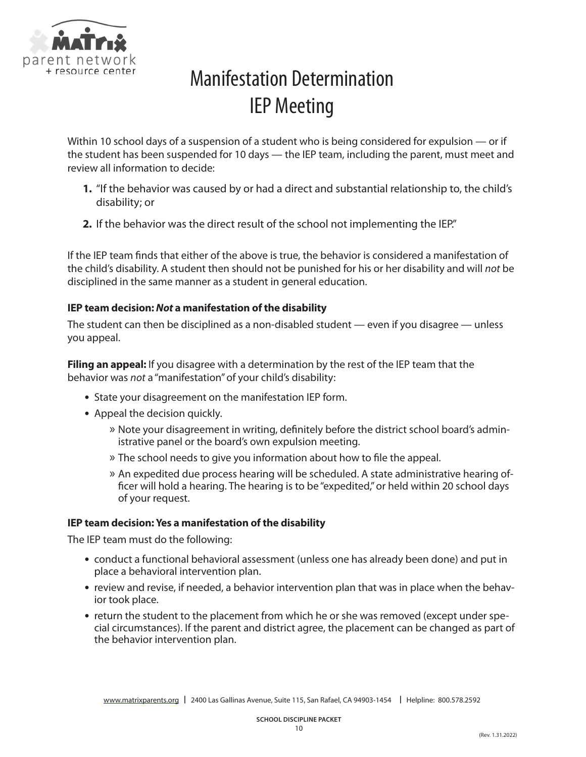

# Manifestation Determination IEP Meeting

Within 10 school days of a suspension of a student who is being considered for expulsion — or if the student has been suspended for 10 days — the IEP team, including the parent, must meet and review all information to decide:

- **1.** "If the behavior was caused by or had a direct and substantial relationship to, the child's disability; or
- **2.** If the behavior was the direct result of the school not implementing the IEP."

If the IEP team finds that either of the above is true, the behavior is considered a manifestation of the child's disability. A student then should not be punished for his or her disability and will *not* be disciplined in the same manner as a student in general education.

### **IEP team decision:** *Not* **a manifestation of the disability**

The student can then be disciplined as a non-disabled student — even if you disagree — unless you appeal.

**Filing an appeal:** If you disagree with a determination by the rest of the IEP team that the behavior was *not* a "manifestation" of your child's disability:

- **•** State your disagreement on the manifestation IEP form.
- **•** Appeal the decision quickly.
	- » Note your disagreement in writing, definitely before the district school board's administrative panel or the board's own expulsion meeting.
	- » The school needs to give you information about how to file the appeal.
	- » An expedited due process hearing will be scheduled. A state administrative hearing officer will hold a hearing. The hearing is to be "expedited," or held within 20 school days of your request.

### **IEP team decision: Yes a manifestation of the disability**

The IEP team must do the following:

- **•** conduct a functional behavioral assessment (unless one has already been done) and put in place a behavioral intervention plan.
- **•** review and revise, if needed, a behavior intervention plan that was in place when the behavior took place.
- **•** return the student to the placement from which he or she was removed (except under special circumstances). If the parent and district agree, the placement can be changed as part of the behavior intervention plan.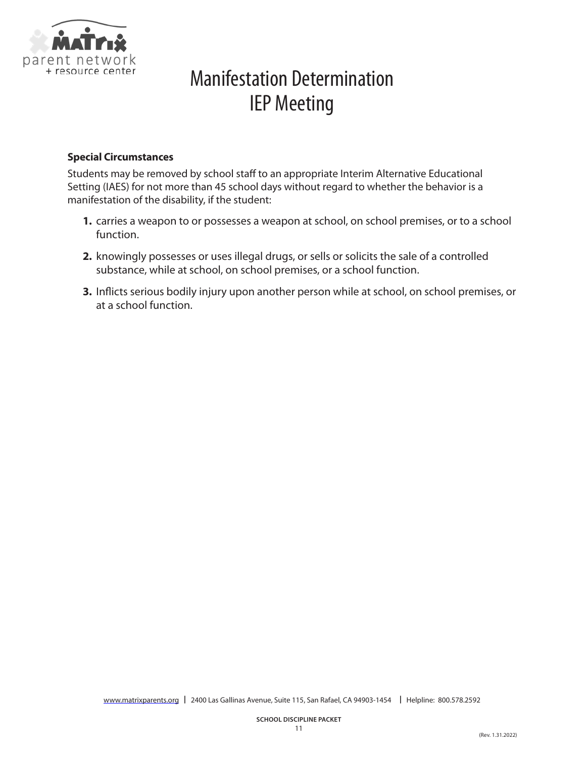

# Manifestation Determination IEP Meeting

### **Special Circumstances**

Students may be removed by school staff to an appropriate Interim Alternative Educational Setting (IAES) for not more than 45 school days without regard to whether the behavior is a manifestation of the disability, if the student:

- **1.** carries a weapon to or possesses a weapon at school, on school premises, or to a school function.
- **2.** knowingly possesses or uses illegal drugs, or sells or solicits the sale of a controlled substance, while at school, on school premises, or a school function.
- **3.** Inflicts serious bodily injury upon another person while at school, on school premises, or at a school function.